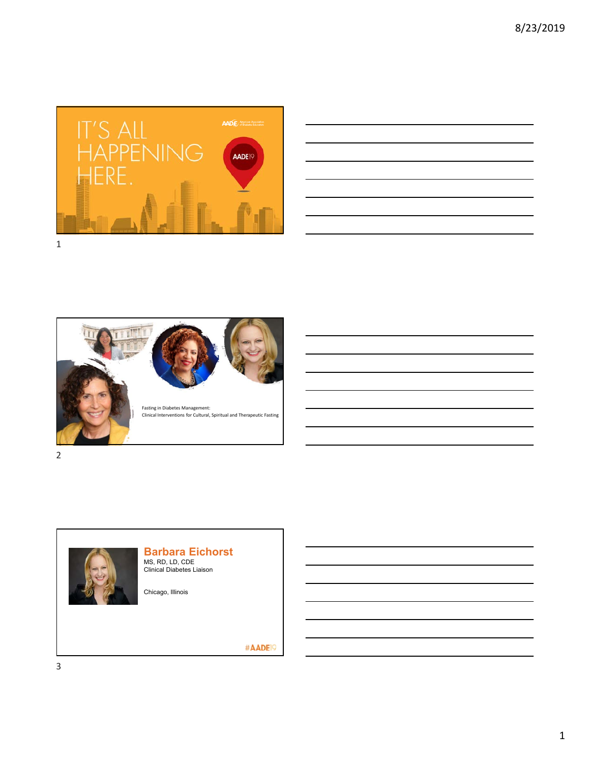







## **Barbara Eichorst**

MS, RD, LD, CDE Clinical Diabetes Liaison

Chicago, Illinois

#AADE<sup>19</sup>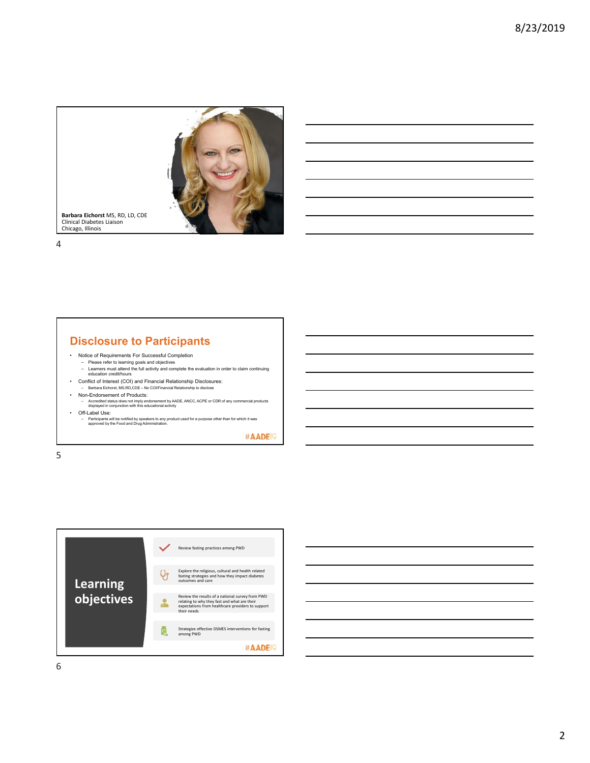

### **Disclosure to Participants**

- Notice of Requirements For Successful Completion
	- Please refer to learning goals and objectives Learners must attend the full activity and complete the evaluation in order to claim continuing education credit/hours
- Conflict of Interest (COI) and Financial Relationship Disclosures:
- Barbara Eichorst, MS,RD,CDE No COI/Financial Relationship to disclose
- Non-Endorsement of Products:
- Accredited status does not imply endorsement by AADE, ANCC, ACPE or CDR of any commercial products displayed in conjunction with this educational activity • Off-Label Use:
- Participants will be notified by speakers to any product used for a purpose other than for which it was approved by the Food and Drug Administration.

#AADE<sup>19</sup>

5



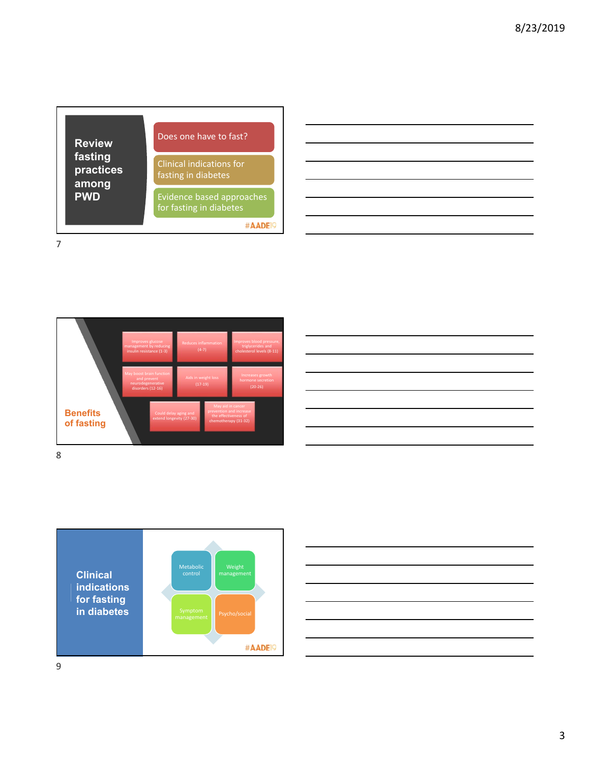| <b>Review</b><br>fasting<br>practices<br>among<br><b>PWD</b> | Does one have to fast?                                      |
|--------------------------------------------------------------|-------------------------------------------------------------|
|                                                              | Clinical indications for<br>fasting in diabetes             |
|                                                              | <b>Evidence based approaches</b><br>for fasting in diabetes |
|                                                              |                                                             |

|  |  | and the control of the control of the control of the control of the control of the control of the control of the |
|--|--|------------------------------------------------------------------------------------------------------------------|
|  |  |                                                                                                                  |
|  |  |                                                                                                                  |
|  |  |                                                                                                                  |
|  |  |                                                                                                                  |







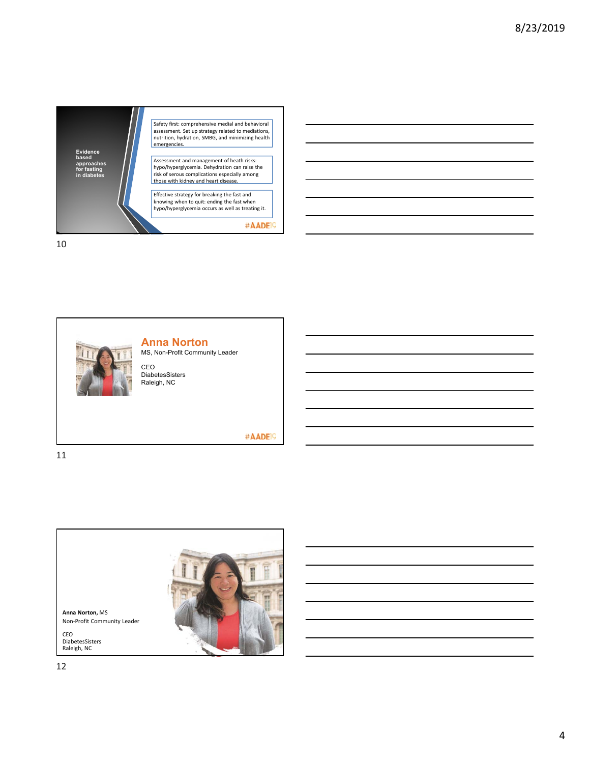



#AADE<sup>19</sup>

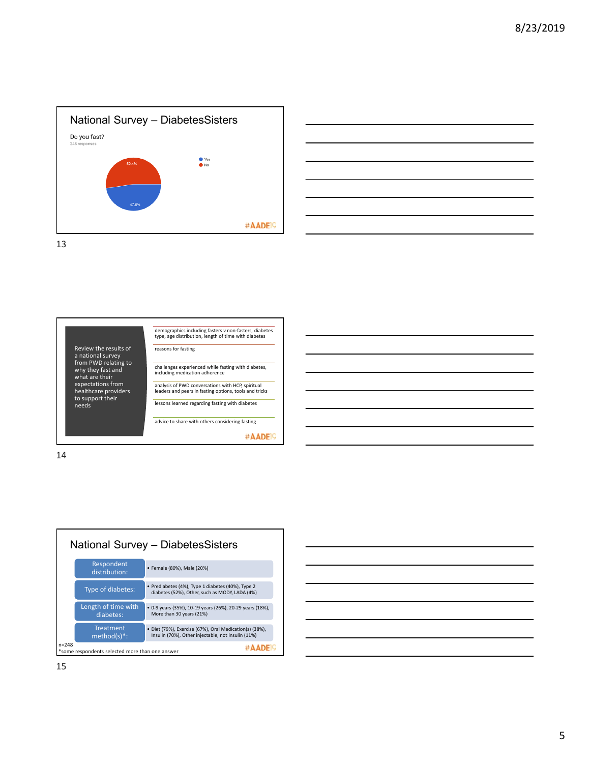







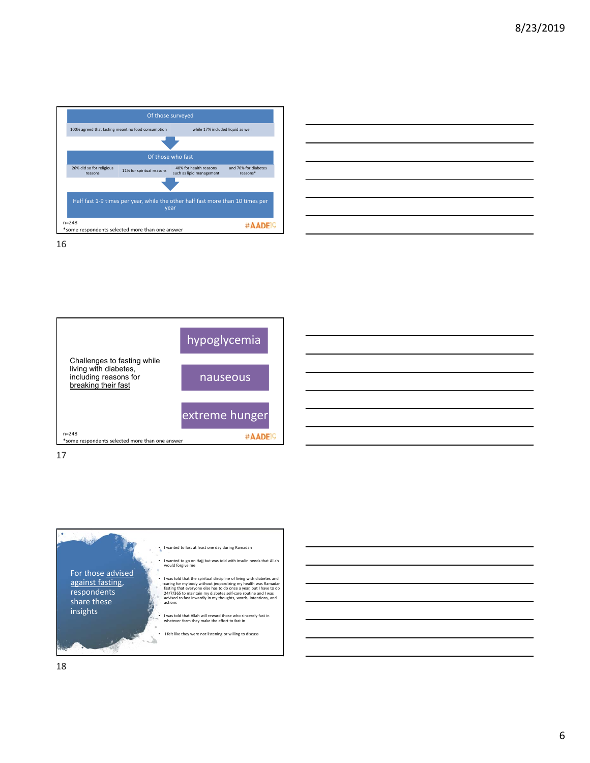

|                                                                                                                       | the control of the control of the control of the control of the control of the control of the control of the control of the control of the control of the control of the control of the control of the control of the control |  |  |
|-----------------------------------------------------------------------------------------------------------------------|-------------------------------------------------------------------------------------------------------------------------------------------------------------------------------------------------------------------------------|--|--|
|                                                                                                                       |                                                                                                                                                                                                                               |  |  |
| <u> Alexandro de la contrada de la contrada de la contrada de la contrada de la contrada de la contrada de la con</u> |                                                                                                                                                                                                                               |  |  |
| and the control of the control of the control of the control of the control of the control of the control of the      |                                                                                                                                                                                                                               |  |  |
|                                                                                                                       | <u> 1989 - Johann Stoff, amerikansk politiker (d. 1989)</u>                                                                                                                                                                   |  |  |
|                                                                                                                       |                                                                                                                                                                                                                               |  |  |
|                                                                                                                       |                                                                                                                                                                                                                               |  |  |
|                                                                                                                       |                                                                                                                                                                                                                               |  |  |







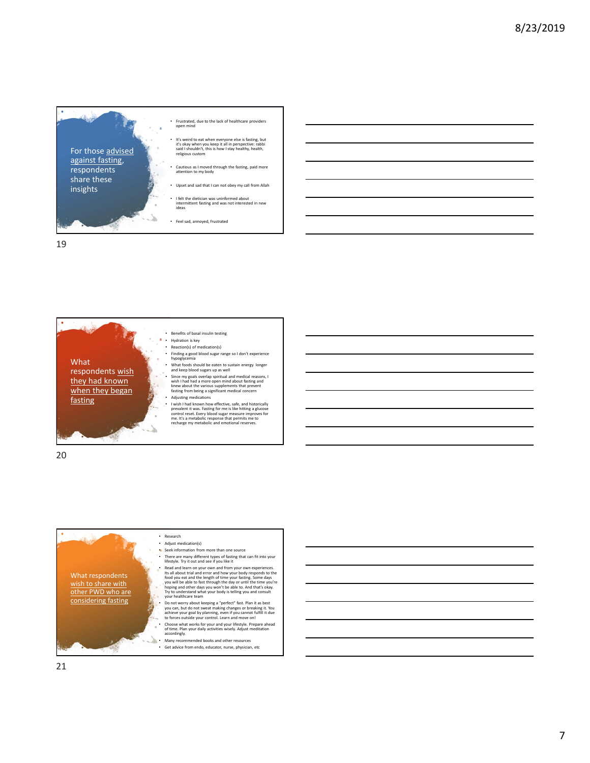

• Frustrated, due to the lack of healthcare providers open mind

• It's weird to eat when everyone else is fasting, but it's okay when you keep it all in perspective: rabbi said I shouldn't, this is how I stay healthy, health, religious custom

attention to my body

• Upset and sad that I can not obey my call from Allah

• I felt the dietician was uninformed about intermittent fasting and was not interested in new

• Feel sad, annoyed, frustrated

19



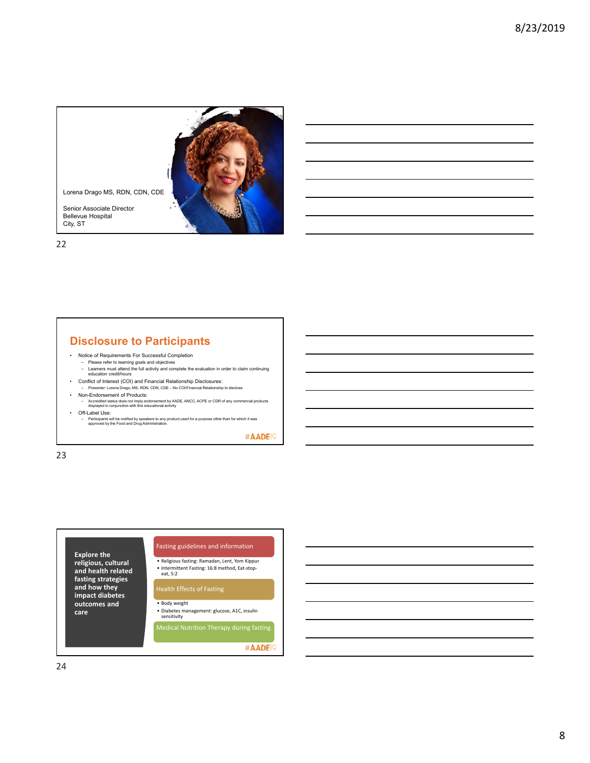

### **Disclosure to Participants**

- Notice of Requirements For Successful Completion
	- Please refer to learning goals and objectives Learners must attend the full activity and complete the evaluation in order to claim continuing education credit/hours
- Conflict of Interest (COI) and Financial Relationship Disclosures:
- 
- Presenter: Lorena Drago, MS, RDN, CDN, CDE No COI/Financial Relationship to disclose Non-Endorsement of Products:
- Accredited status does not imply endorsement by AADE, ANCC, ACPE or CDR of any commercial products displayed in conjunction with this educational activity • Off-Label Use:
- Participants will be notified by speakers to any product used for a purpose other than for which it was approved by the Food and Drug Administration.

#AADE<sup>19</sup>

23

### **Explore the**

**religious, cultural and health related fasting strategies and how they impact diabetes outcomes and care**

Fasting guidelines and information

• Religious fasting: Ramadan, Lent, Yom Kippur • Intermittent Fasting: 16:8 method, Eat-stopeat, 5:2

- Body weight
- Diabetes management: glucose, A1C, insulin sensitivity
- Medical Nutrition Therapy during fasting

#AADE<sup>9</sup>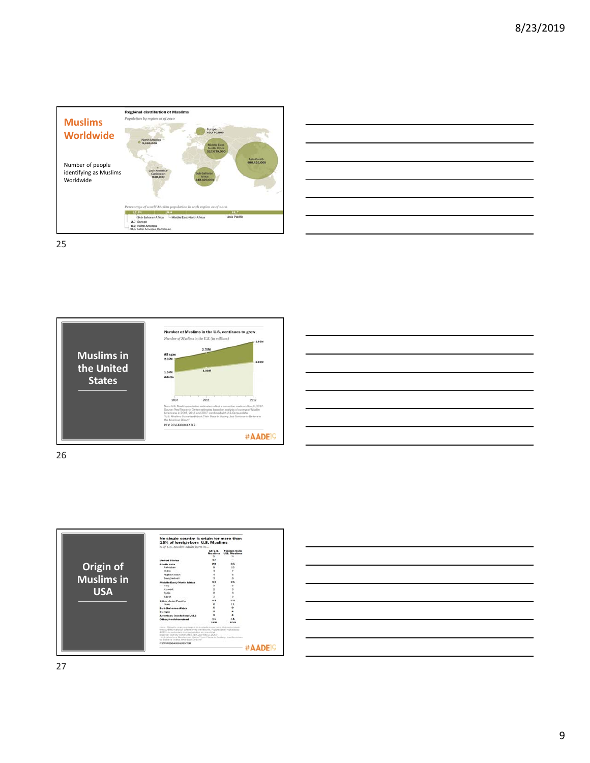

| <u> 1989 - Andrea Andrew Maria (h. 1989).</u>                                                                         |  |  |
|-----------------------------------------------------------------------------------------------------------------------|--|--|
| <u> 1989 - Johann Stoff, deutscher Stoff, der Stoff, der Stoff, der Stoff, der Stoff, der Stoff, der Stoff, der S</u> |  |  |
|                                                                                                                       |  |  |
| <u> 1989 - Johann Barn, amerikan bernama di sebagai bernama dan bernama di sebagai bernama dalam bernama dalam b</u>  |  |  |
| <u> 1989 - Andrea Santa Andrea Andrea Andrea Andrea Andrea Andrea Andrea Andrea Andrea Andrea Andrea Andrea Andr</u>  |  |  |
| <u> 1989 - Johann Stoff, deutscher Stoff, der Stoff, der Stoff, der Stoff, der Stoff, der Stoff, der Stoff, der S</u> |  |  |
|                                                                                                                       |  |  |







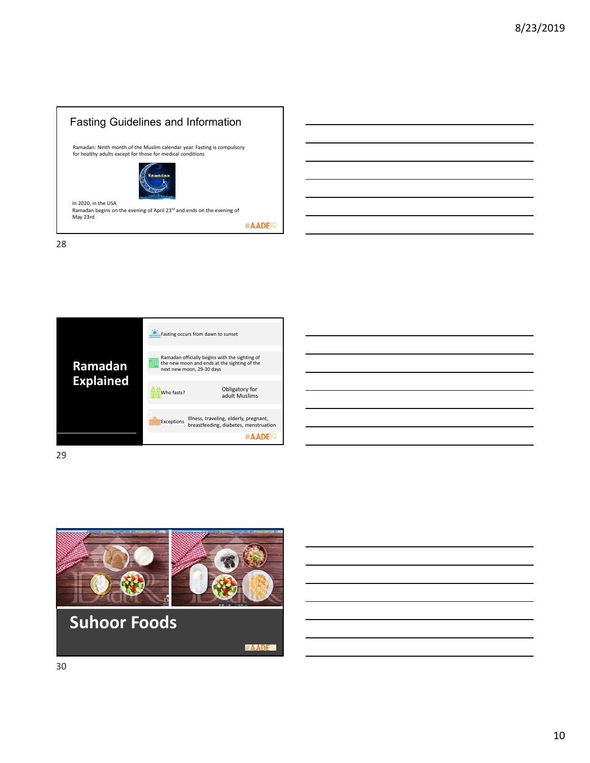





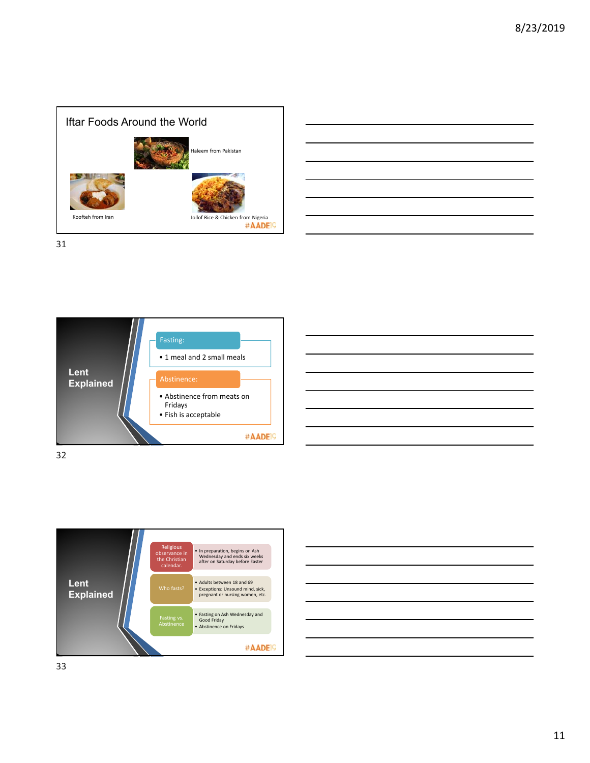

| <u> Alexander de la contrada de la contrada de la contrada de la contrada de la contrada de la contrada de la con</u> |  |  |  |
|-----------------------------------------------------------------------------------------------------------------------|--|--|--|
| <u> Album and the second control of the second control of the second control of the second control of the second</u>  |  |  |  |
|                                                                                                                       |  |  |  |
|                                                                                                                       |  |  |  |
|                                                                                                                       |  |  |  |
| <u> 1989 - Andrea Andrew Maria (h. 1989).</u>                                                                         |  |  |  |
| <u> 1989 - Andrea Santa Andrea Andrea Andrea Andrea Andrea Andrea Andrea Andrea Andrea Andrea Andrea Andrea Andr</u>  |  |  |  |
|                                                                                                                       |  |  |  |







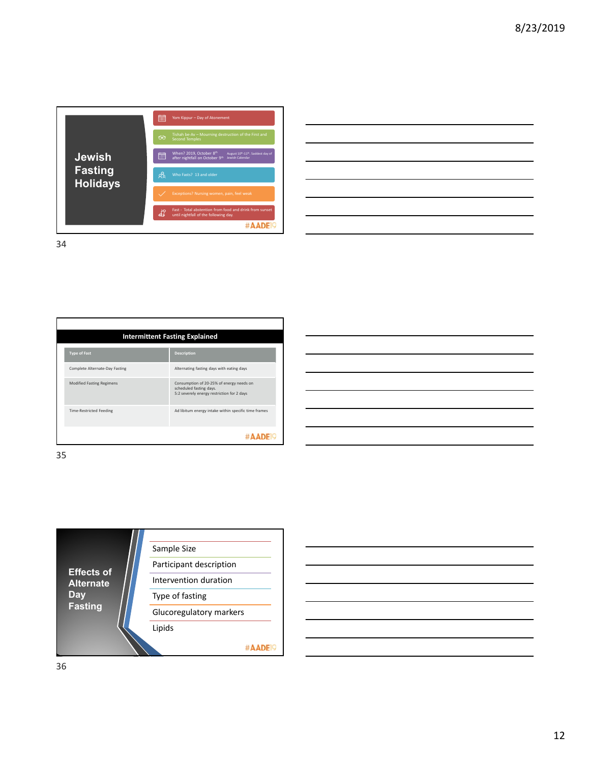

| and the contract of the contract of the contract of the contract of the contract of the contract of the contract of |  |  |  |
|---------------------------------------------------------------------------------------------------------------------|--|--|--|
|                                                                                                                     |  |  |  |
|                                                                                                                     |  |  |  |
|                                                                                                                     |  |  |  |
|                                                                                                                     |  |  |  |
| and the contract of the contract of the contract of the contract of the contract of the contract of the contract of |  |  |  |
| <u> 1989 - Johann Stoff, amerikansk politiker (d. 1989)</u>                                                         |  |  |  |
|                                                                                                                     |  |  |  |

|                                  | <b>Intermittent Fasting Explained</b>                                                                             |
|----------------------------------|-------------------------------------------------------------------------------------------------------------------|
| <b>Type of Fast</b>              | <b>Description</b>                                                                                                |
| Complete Alternate-Day Fasting   | Alternating fasting days with eating days                                                                         |
| <b>Modified Fasting Regimens</b> | Consumption of 20-25% of energy needs on<br>scheduled fasting days.<br>5:2 severely energy restriction for 2 days |
| <b>Time-Restricted Feeding</b>   | Ad libitum energy intake within specific time frames                                                              |
|                                  |                                                                                                                   |

35



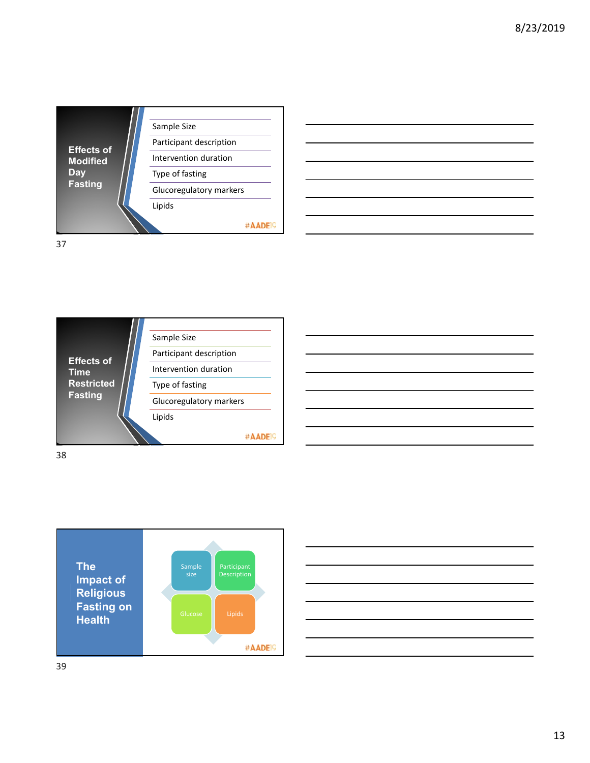

Sample Size Participant description **Effects of**  Intervention duration **Time Restricted**  Type of fasting **Fasting** Glucoregulatory markers Lipids #AADE<sup>19</sup> 38





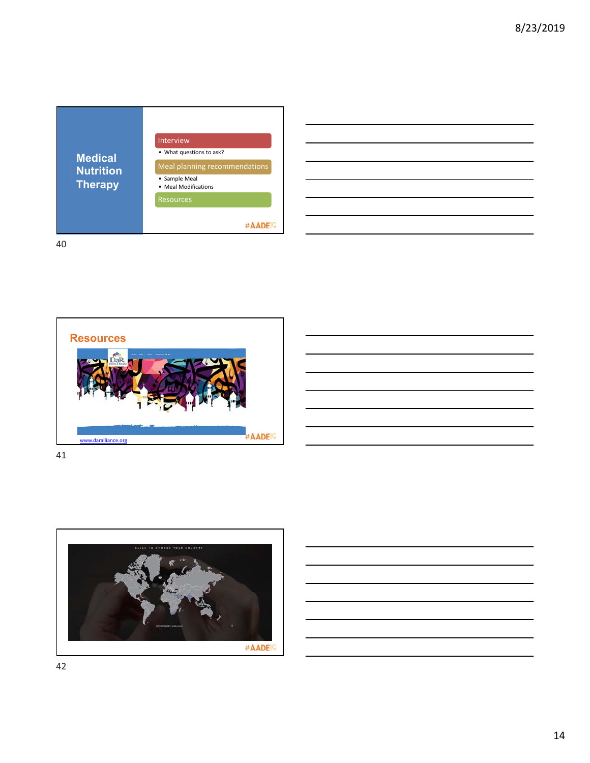

| <u> 1989 - Johann John Stoff, deutscher Stoffen und der Stoffen und der Stoffen und der Stoffen und der Stoffen un</u> |  | and the contract of |
|------------------------------------------------------------------------------------------------------------------------|--|---------------------|
|                                                                                                                        |  | ____                |
| <u> 1988 - Johann Stoff, amerikansk fotograf i stoff og det forskellige og det forskellige og det forskellige og</u>   |  |                     |
|                                                                                                                        |  | ___                 |
|                                                                                                                        |  |                     |
| and the contract of the contract of the contract of the contract of the contract of the contract of the contract of    |  | ___                 |
|                                                                                                                        |  |                     |

 $\overline{\phantom{0}}$ 

40





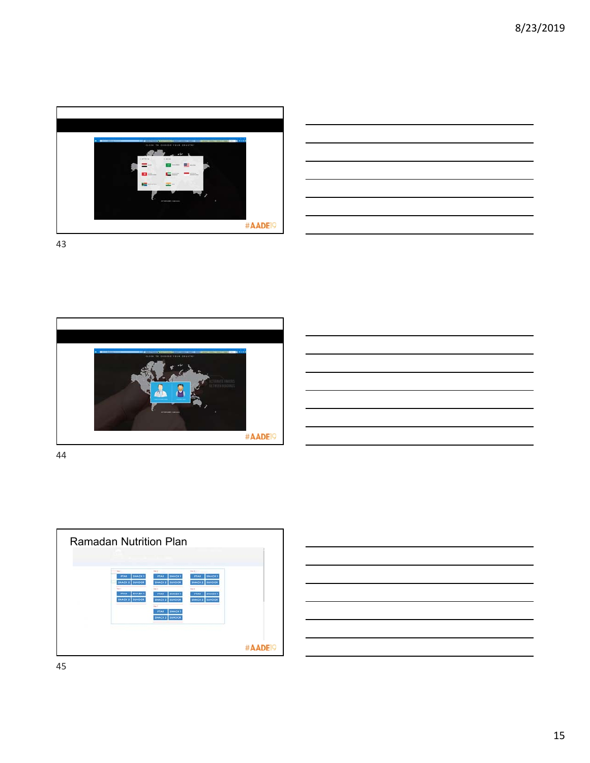

| <u>a sa salawan sa kasara sa sana sa sana sa sana sa sana sa sana sa sana sa sana sa sana sa sana sa sa sa sa sa</u> |
|----------------------------------------------------------------------------------------------------------------------|
|                                                                                                                      |
|                                                                                                                      |
|                                                                                                                      |
| the contract of the contract of the contract of                                                                      |



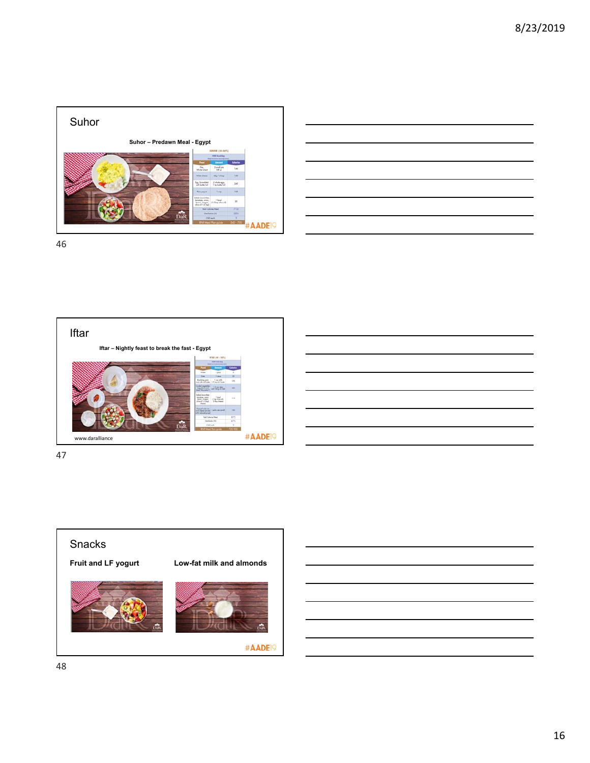

|  |  | ____ |
|--|--|------|
|  |  |      |
|  |  |      |
|  |  |      |
|  |  |      |
|  |  |      |





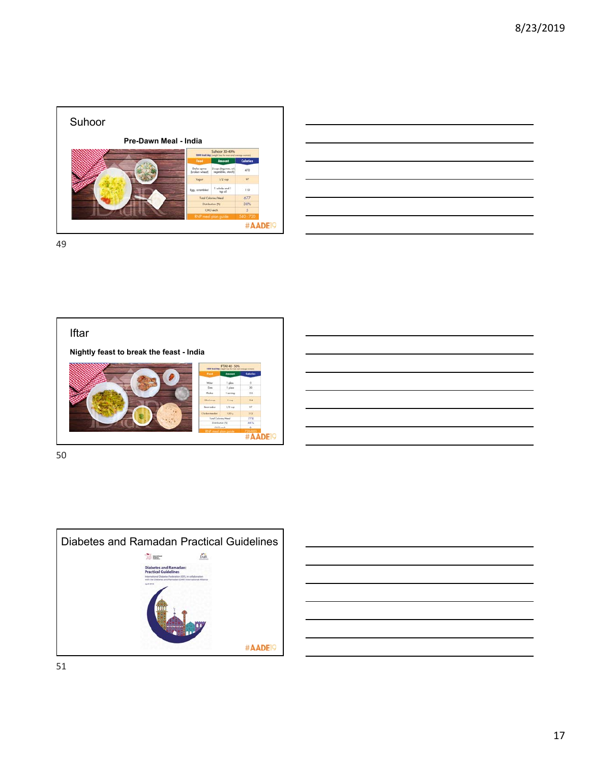

|                                                                                                                       | <b>Contract Contract</b> |
|-----------------------------------------------------------------------------------------------------------------------|--------------------------|
|                                                                                                                       |                          |
|                                                                                                                       |                          |
| <u> Alexandro de la contrada de la contrada de la contrada de la contrada de la contrada de la contrada de la co</u>  |                          |
|                                                                                                                       |                          |
| <u> Album and a strong and a strong and a strong and a strong and a strong and a strong and a strong and a strong</u> |                          |
|                                                                                                                       |                          |





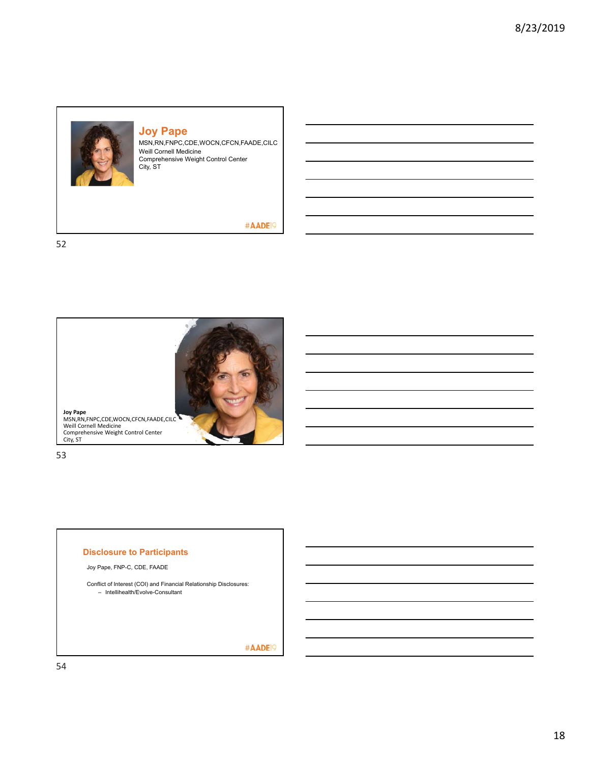

### **Joy Pape**

MSN,RN,FNPC,CDE,WOCN,CFCN,FAADE,CILC Weill Cornell Medicine Comprehensive Weight Control Center City, ST

### #AADE<sup>19</sup>

52



53

#### **Disclosure to Participants**

Joy Pape, FNP-C, CDE, FAADE

Conflict of Interest (COI) and Financial Relationship Disclosures: – Intellihealth/Evolve-Consultant

#AADE<sup>19</sup>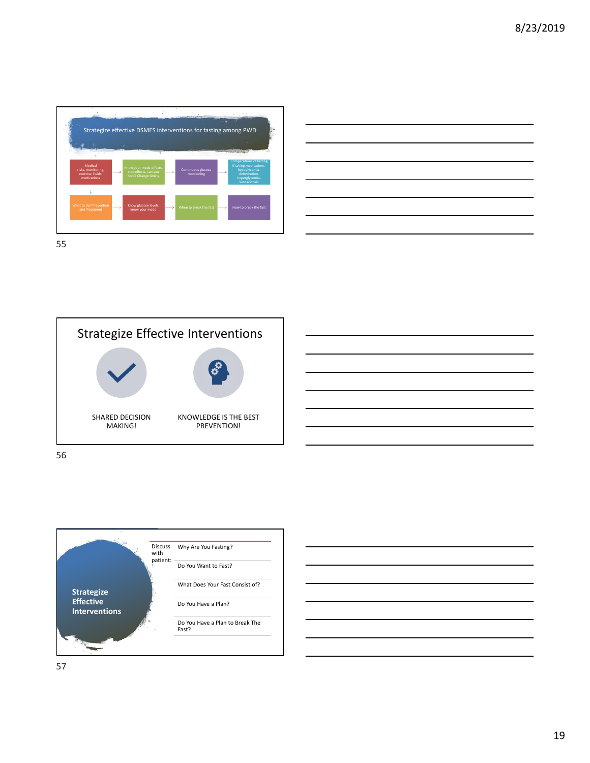

| $\sim$ $\sim$ $\sim$ $\sim$ $\sim$                                                                                   |          |
|----------------------------------------------------------------------------------------------------------------------|----------|
| <u> Andreas Andreas Andreas Andreas Andreas Andreas Andreas Andreas Andreas Andreas Andreas Andreas Andreas Andr</u> |          |
|                                                                                                                      |          |
|                                                                                                                      |          |
| $\overline{\phantom{a}}$                                                                                             |          |
|                                                                                                                      | ________ |
| $\sim$ $\sim$ $\sim$ $\sim$ $\sim$ $\sim$ $\sim$                                                                     |          |
|                                                                                                                      |          |



56



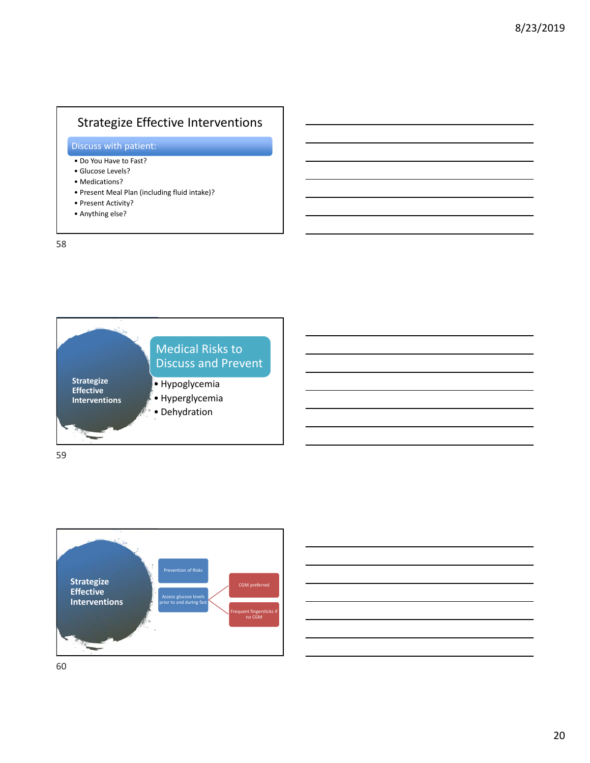## Strategize Effective Interventions

### Discuss with patient:

- Do You Have to Fast?
- Glucose Levels?
- Medications?
- Present Meal Plan (including fluid intake)?
- Present Activity?
- Anything else?

58





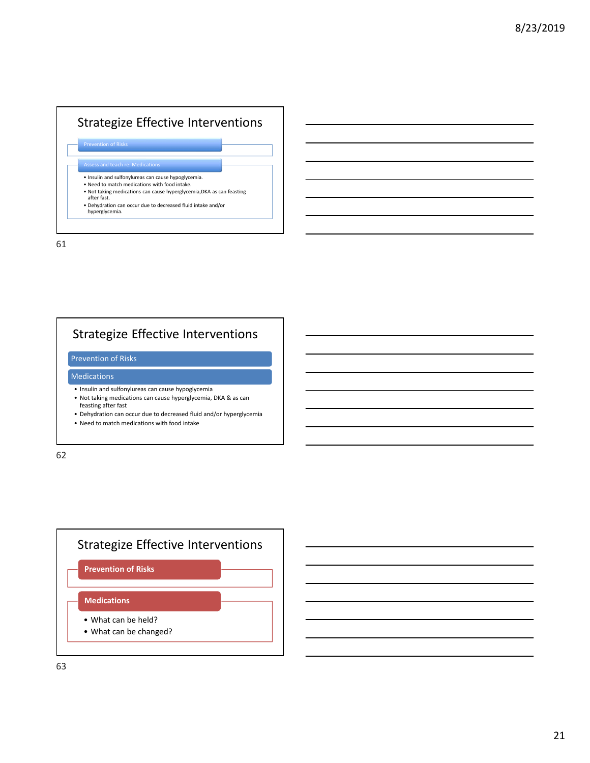## Strategize Effective Interventions

**Prevention of Risks** 

Assess and teach re: Medications

- Insulin and sulfonylureas can cause hypoglycemia.
- Need to match medications with food intake.
- Not taking medications can cause hyperglycemia,DKA as can feasting after fast.

• Dehydration can occur due to decreased fluid intake and/or hyperglycemia.

61

# Strategize Effective Interventions

### Prevention of Risks

#### Medications

- Insulin and sulfonylureas can cause hypoglycemia
- Not taking medications can cause hyperglycemia, DKA & as can feasting after fast
- Dehydration can occur due to decreased fluid and/or hyperglycemia
- Need to match medications with food intake